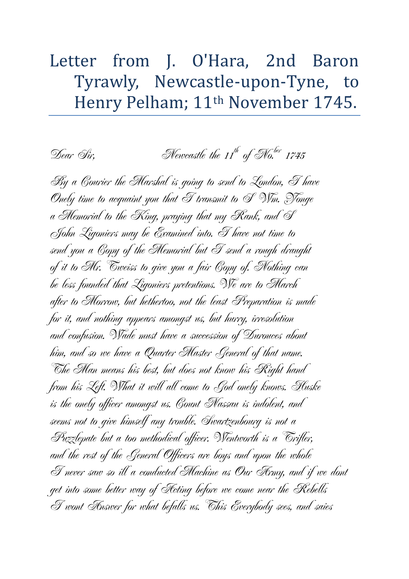## Letter from J. O'Hara, 2nd Baron Tyrawly, Newcastle-upon-Tyne, to Henry Pelham; 11th November 1745.

Dear Sir,  $Newcastle the 11<sup>th</sup> of Mo.<sup>ber</sup> 1745$ 

By a Courier the Marshal is going to send to London, I have Onely time to acquaint you that  $\mathscr T$  transmit to  $\mathscr S$  Wm. Yonge a Memorial to the King, praying that my Rank, and  $\mathscr S$ John Ligoniers may be Examined into. I have not time to send you a Copy of the Memorial but I send a rough draught of it to Mr. Tweiss to give you a fair Copy of. Nothing can be less founded that Ligoniers pretentions. We are to March after to Morrow, but hethertoo, not the least Preparation is made for it, and nothing appears amongst us, but hurry, irresolution and confusion. Wade must have a succession of Durouces about him, and so we have a Quarter Master General of that name. The Man means his best, but does not know his Right hand from his Left. What it will all come to God onely knows. Huske is the onely officer amongst us. Count Nassau is indolent, and seems not to give himself any trouble. Swartzenbourg is not a Puzzlepate but a too methodical officer. Wentworth is a Trifler, and the rest of the General Officers are boys and upon the whole I never saw so ill a conducted Machine as Our Army, and if we dont get into some better way of Acting before we come near the Rebells I wont Answer for what befalls us. This Everybody sees, and saies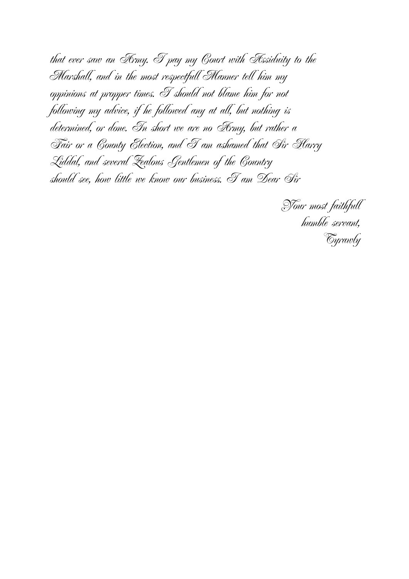that ever saw an Army. I pay my Court with Assiduity to the Marshall, and in the most respectfull Manner tell him my oppinions at propper times. I should not blame him for not following my advice, if he followed any at all, but nothing is determined, or done. In short we are no Army, but rather a Fair or a County Election, and I am ashamed that Sir Harry Liddal, and several Zealous Gentlemen of the Country should see, how little we know our business. I am Dear Sir

Your most faithfull humble servant, Tyrawly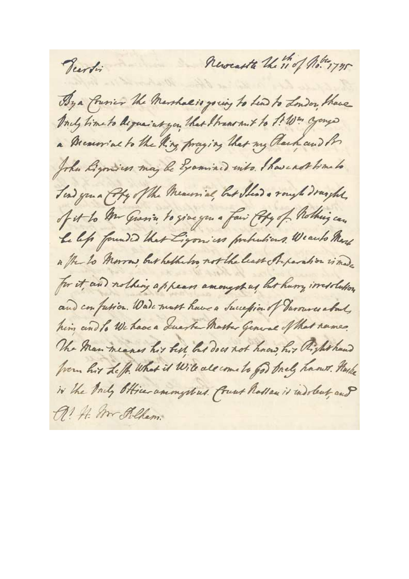Revealthe the 11 of hoter 1775 Veerti By a frien the Marshalis young to him to London, those Ancy time to dequaint you that I transmit to 1! Win yougo a Dreamial to the King praying that my Clark and in John Lyonies may be Examined with I have not time to Tend you a Copy of the Measurial, but I lead a rough draght, of it to An Grania to give you a fair Coly of Rothing can Le lefs founded that Ligonias probabias Wearto Mere a the to Morrow, but hethelos not the least Peperation is med for it, and nothing appears amongshing but hurry instolution and confusion. Water must have a Succession of Turoures about, him and to We have a Luster Master General of that names. The Man meaner his best but does not have his Righthand from hir Left. What it Will all come to go brels hands. Haske iv the Andy Officer amongstrus. Count Rossen is indolent, and A! A. Mr Rilham.